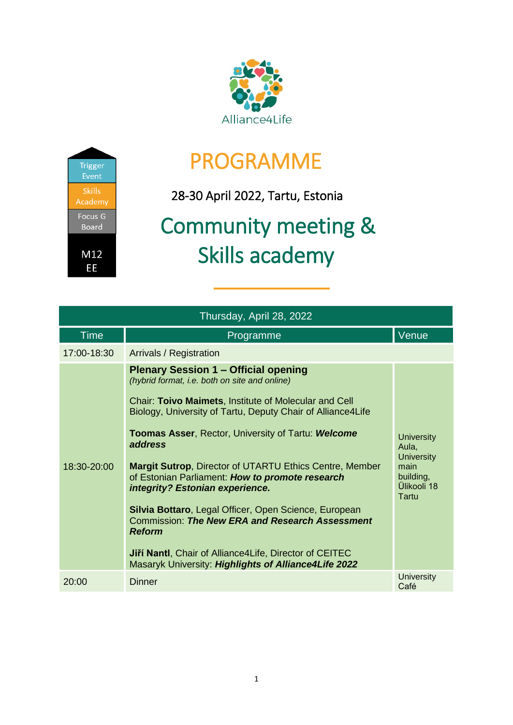



## PROGRAMME

28-30 April 2022, Tartu, Estonia

## Community meeting & Skills academy

| Thursday, April 28, 2022 |                                                                                                                                                                                                                                                                                                                                                                                                                                                                                                                                                                                                                                                                                                       |                                                                                              |  |  |
|--------------------------|-------------------------------------------------------------------------------------------------------------------------------------------------------------------------------------------------------------------------------------------------------------------------------------------------------------------------------------------------------------------------------------------------------------------------------------------------------------------------------------------------------------------------------------------------------------------------------------------------------------------------------------------------------------------------------------------------------|----------------------------------------------------------------------------------------------|--|--|
| <b>Time</b>              | Programme                                                                                                                                                                                                                                                                                                                                                                                                                                                                                                                                                                                                                                                                                             | Venue                                                                                        |  |  |
| 17:00-18:30              | <b>Arrivals / Registration</b>                                                                                                                                                                                                                                                                                                                                                                                                                                                                                                                                                                                                                                                                        |                                                                                              |  |  |
| 18:30-20:00              | <b>Plenary Session 1 - Official opening</b><br>(hybrid format, i.e. both on site and online)<br>Chair: Toivo Maimets, Institute of Molecular and Cell<br>Biology, University of Tartu, Deputy Chair of Alliance4Life<br><b>Toomas Asser, Rector, University of Tartu: Welcome</b><br>address<br><b>Margit Sutrop, Director of UTARTU Ethics Centre, Member</b><br>of Estonian Parliament: How to promote research<br>integrity? Estonian experience.<br>Silvia Bottaro, Legal Officer, Open Science, European<br>Commission: The New ERA and Research Assessment<br><b>Reform</b><br>Jiří Nantl, Chair of Alliance 4 Life, Director of CEITEC<br>Masaryk University: Highlights of Alliance4Life 2022 | <b>University</b><br>Aula,<br><b>University</b><br>main<br>building,<br>Ülikooli 18<br>Tartu |  |  |
| 20:00                    | <b>Dinner</b>                                                                                                                                                                                                                                                                                                                                                                                                                                                                                                                                                                                                                                                                                         | <b>University</b><br>Café                                                                    |  |  |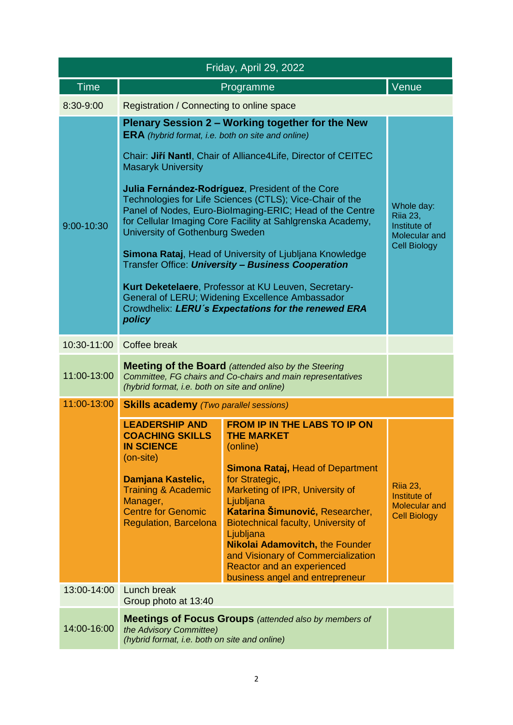| Friday, April 29, 2022 |                                                                                                                                                                                                                   |                                                                                                                                                                                                                                                                                                                                                                                                                           |                                                                                |  |  |
|------------------------|-------------------------------------------------------------------------------------------------------------------------------------------------------------------------------------------------------------------|---------------------------------------------------------------------------------------------------------------------------------------------------------------------------------------------------------------------------------------------------------------------------------------------------------------------------------------------------------------------------------------------------------------------------|--------------------------------------------------------------------------------|--|--|
| <b>Time</b>            |                                                                                                                                                                                                                   | Programme                                                                                                                                                                                                                                                                                                                                                                                                                 | Venue                                                                          |  |  |
| 8:30-9:00              | Registration / Connecting to online space                                                                                                                                                                         |                                                                                                                                                                                                                                                                                                                                                                                                                           |                                                                                |  |  |
|                        | Plenary Session 2 - Working together for the New<br><b>ERA</b> (hybrid format, i.e. both on site and online)                                                                                                      |                                                                                                                                                                                                                                                                                                                                                                                                                           |                                                                                |  |  |
|                        | <b>Masaryk University</b>                                                                                                                                                                                         | Chair: Jiří Nantl, Chair of Alliance 4 Life, Director of CEITEC                                                                                                                                                                                                                                                                                                                                                           |                                                                                |  |  |
| 9:00-10:30             | University of Gothenburg Sweden                                                                                                                                                                                   | Julia Fernández-Rodríguez, President of the Core<br>Technologies for Life Sciences (CTLS); Vice-Chair of the<br>Panel of Nodes, Euro-Biolmaging-ERIC; Head of the Centre<br>for Cellular Imaging Core Facility at Sahlgrenska Academy,                                                                                                                                                                                    | Whole day:<br><b>Riia 23,</b><br>Institute of<br>Molecular and                 |  |  |
|                        |                                                                                                                                                                                                                   | Simona Rataj, Head of University of Ljubljana Knowledge<br>Transfer Office: <i>University - Business Cooperation</i>                                                                                                                                                                                                                                                                                                      | <b>Cell Biology</b>                                                            |  |  |
|                        | policy                                                                                                                                                                                                            | Kurt Deketelaere, Professor at KU Leuven, Secretary-<br>General of LERU; Widening Excellence Ambassador<br>Crowdhelix: LERU's Expectations for the renewed ERA                                                                                                                                                                                                                                                            |                                                                                |  |  |
| 10:30-11:00            | Coffee break                                                                                                                                                                                                      |                                                                                                                                                                                                                                                                                                                                                                                                                           |                                                                                |  |  |
| 11:00-13:00            | <b>Meeting of the Board</b> (attended also by the Steering<br>Committee, FG chairs and Co-chairs and main representatives<br>(hybrid format, i.e. both on site and online)                                        |                                                                                                                                                                                                                                                                                                                                                                                                                           |                                                                                |  |  |
| 11:00-13:00            | <b>Skills academy</b> (Two parallel sessions)                                                                                                                                                                     |                                                                                                                                                                                                                                                                                                                                                                                                                           |                                                                                |  |  |
|                        | <b>LEADERSHIP AND</b><br><b>COACHING SKILLS</b><br><b>IN SCIENCE</b><br>(on-site)<br>Damjana Kastelic,<br><b>Training &amp; Academic</b><br>Manager,<br><b>Centre for Genomic</b><br><b>Regulation, Barcelona</b> | <b>FROM IP IN THE LABS TO IP ON</b><br><b>THE MARKET</b><br>(online)<br><b>Simona Rataj, Head of Department</b><br>for Strategic,<br>Marketing of IPR, University of<br>Ljubljana<br>Katarina Šimunović, Researcher,<br>Biotechnical faculty, University of<br>Ljubljana<br><b>Nikolai Adamovitch, the Founder</b><br>and Visionary of Commercialization<br>Reactor and an experienced<br>business angel and entrepreneur | <b>Rija 23,</b><br>Institute of<br><b>Molecular and</b><br><b>Cell Biology</b> |  |  |
| 13:00-14:00            | Lunch break<br>Group photo at 13:40                                                                                                                                                                               |                                                                                                                                                                                                                                                                                                                                                                                                                           |                                                                                |  |  |
| 14:00-16:00            | the Advisory Committee)<br>(hybrid format, i.e. both on site and online)                                                                                                                                          | <b>Meetings of Focus Groups</b> (attended also by members of                                                                                                                                                                                                                                                                                                                                                              |                                                                                |  |  |